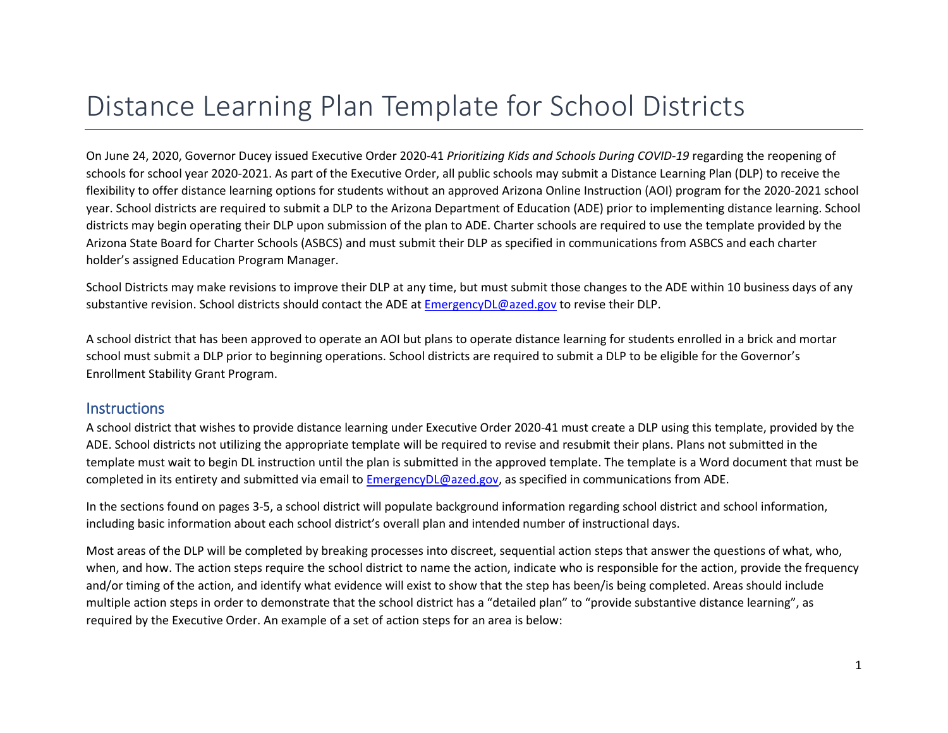# Distance Learning Plan Template for School Districts

On June 24, 2020, Governor Ducey issued Executive Order 2020-41 *Prioritizing Kids and Schools During COVID-19* regarding the reopening of schools for school year 2020-2021. As part of the Executive Order, all public schools may submit a Distance Learning Plan (DLP) to receive the flexibility to offer distance learning options for students without an approved Arizona Online Instruction (AOI) program for the 2020-2021 school year. School districts are required to submit a DLP to the Arizona Department of Education (ADE) prior to implementing distance learning. School districts may begin operating their DLP upon submission of the plan to ADE. Charter schools are required to use the template provided by the Arizona State Board for Charter Schools (ASBCS) and must submit their DLP as specified in communications from ASBCS and each charter holder's assigned Education Program Manager.

School Districts may make revisions to improve their DLP at any time, but must submit those changes to the ADE within 10 business days of any substantive revision. School districts should contact the ADE a[t EmergencyDL@azed.gov](mailto:EmergencyDL@azed.gov) to revise their DLP.

A school district that has been approved to operate an AOI but plans to operate distance learning for students enrolled in a brick and mortar school must submit a DLP prior to beginning operations. School districts are required to submit a DLP to be eligible for the Governor's Enrollment Stability Grant Program.

#### **Instructions**

A school district that wishes to provide distance learning under Executive Order 2020-41 must create a DLP using this template, provided by the ADE. School districts not utilizing the appropriate template will be required to revise and resubmit their plans. Plans not submitted in the template must wait to begin DL instruction until the plan is submitted in the approved template. The template is a Word document that must be completed in its entirety and submitted via email to [EmergencyDL@azed.gov,](mailto:EmergencyDL@azed.gov) as specified in communications from ADE.

In the sections found on pages 3-5, a school district will populate background information regarding school district and school information, including basic information about each school district's overall plan and intended number of instructional days.

Most areas of the DLP will be completed by breaking processes into discreet, sequential action steps that answer the questions of what, who, when, and how. The action steps require the school district to name the action, indicate who is responsible for the action, provide the frequency and/or timing of the action, and identify what evidence will exist to show that the step has been/is being completed. Areas should include multiple action steps in order to demonstrate that the school district has a "detailed plan" to "provide substantive distance learning", as required by the Executive Order. An example of a set of action steps for an area is below: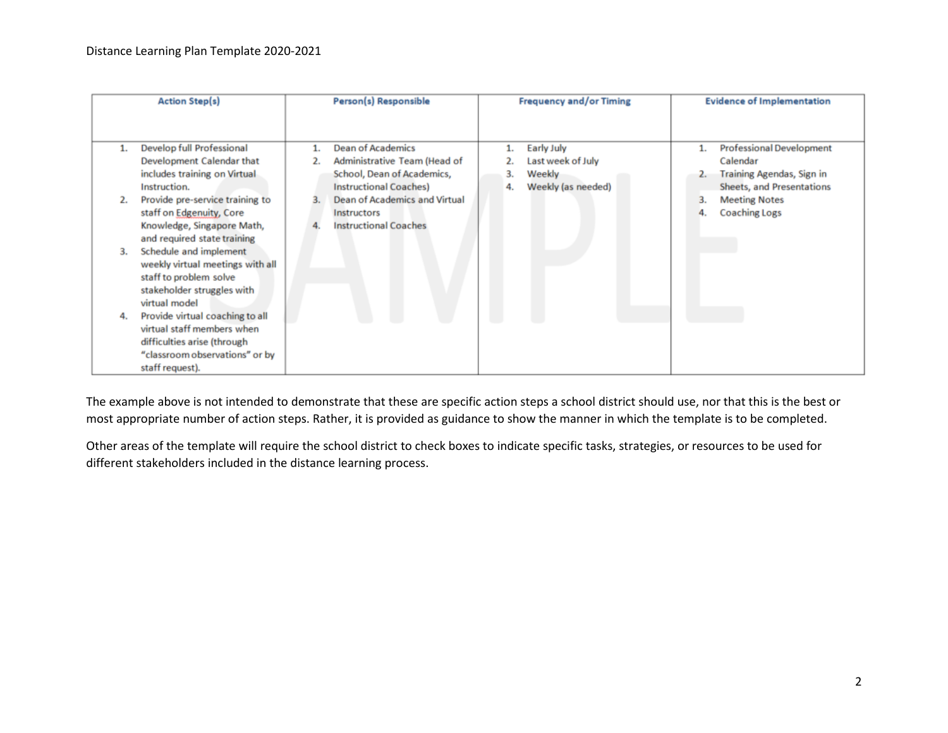|    | <b>Action Step(s)</b>            | Person(s) Responsible         |    | <b>Frequency and/or Timing</b> | <b>Evidence of Implementation</b> |
|----|----------------------------------|-------------------------------|----|--------------------------------|-----------------------------------|
|    |                                  |                               |    |                                |                                   |
|    | Develop full Professional        | <b>Dean of Academics</b>      |    | Early July                     | <b>Professional Development</b>   |
|    | Development Calendar that        | Administrative Team (Head of  |    | Last week of July              | Calendar                          |
|    | includes training on Virtual     | School, Dean of Academics,    | 3. | Weekly                         | Training Agendas, Sign in         |
|    | Instruction.                     | <b>Instructional Coaches)</b> | 4. | Weekly (as needed)             | Sheets, and Presentations         |
|    | Provide pre-service training to  | Dean of Academics and Virtual |    |                                | <b>Meeting Notes</b>              |
|    | staff on Edgenuity, Core         | Instructors                   |    |                                | <b>Coaching Logs</b>              |
|    | Knowledge, Singapore Math,       | <b>Instructional Coaches</b>  |    |                                |                                   |
|    | and required state training      |                               |    |                                |                                   |
| 3. | Schedule and implement           |                               |    |                                |                                   |
|    | weekly virtual meetings with all |                               |    |                                |                                   |
|    | staff to problem solve           |                               |    |                                |                                   |
|    | stakeholder struggles with       |                               |    |                                |                                   |
|    | virtual model                    |                               |    |                                |                                   |
| 4. | Provide virtual coaching to all  |                               |    |                                |                                   |
|    | virtual staff members when       |                               |    |                                |                                   |
|    | difficulties arise (through      |                               |    |                                |                                   |
|    | "classroom observations" or by   |                               |    |                                |                                   |
|    | staff request).                  |                               |    |                                |                                   |

The example above is not intended to demonstrate that these are specific action steps a school district should use, nor that this is the best or most appropriate number of action steps. Rather, it is provided as guidance to show the manner in which the template is to be completed.

Other areas of the template will require the school district to check boxes to indicate specific tasks, strategies, or resources to be used for different stakeholders included in the distance learning process.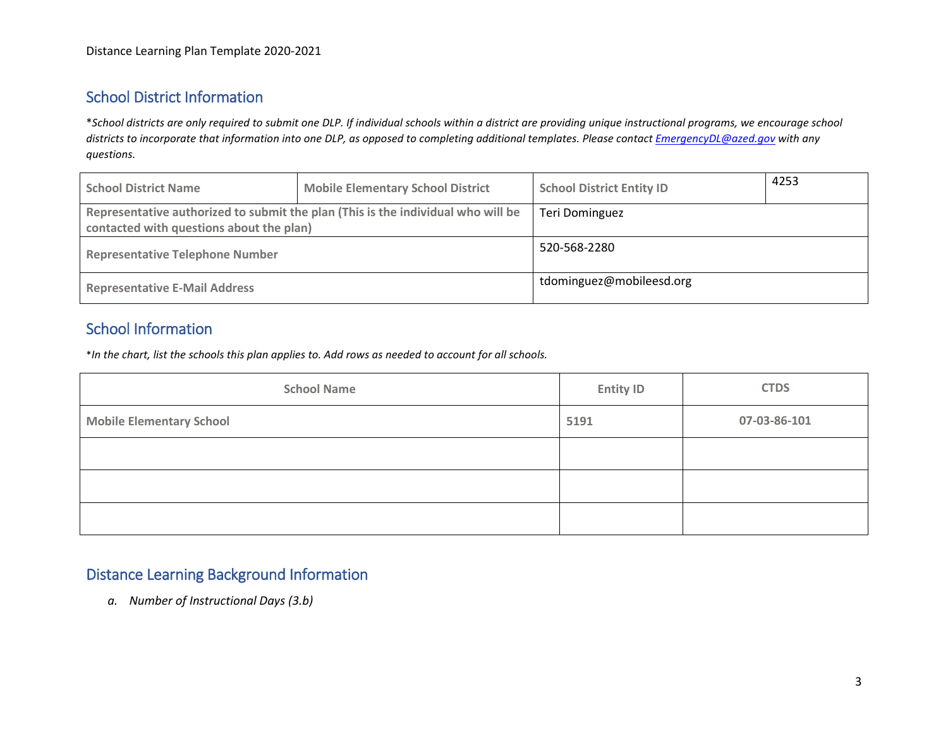### School District Information

\**School districts are only required to submit one DLP. If individual schools within a district are providing unique instructional programs, we encourage school districts to incorporate that information into one DLP, as opposed to completing additional templates. Please contac[t EmergencyDL@azed.gov](mailto:EmergencyDL@azed.gov) with any questions.*

| <b>School District Name</b>                                                      | <b>Mobile Elementary School District</b> | <b>School District Entity ID</b> | 4253 |
|----------------------------------------------------------------------------------|------------------------------------------|----------------------------------|------|
| Representative authorized to submit the plan (This is the individual who will be |                                          | Teri Dominguez                   |      |
| contacted with questions about the plan)                                         |                                          |                                  |      |
| <b>Representative Telephone Number</b>                                           |                                          | 520-568-2280                     |      |
| <b>Representative E-Mail Address</b>                                             |                                          | tdominguez@mobileesd.org         |      |

#### School Information

\**In the chart, list the schools this plan applies to. Add rows as needed to account for all schools.*

| <b>School Name</b>              | <b>Entity ID</b> | <b>CTDS</b>  |
|---------------------------------|------------------|--------------|
| <b>Mobile Elementary School</b> | 5191             | 07-03-86-101 |
|                                 |                  |              |
|                                 |                  |              |
|                                 |                  |              |

#### Distance Learning Background Information

*a. Number of Instructional Days (3.b)*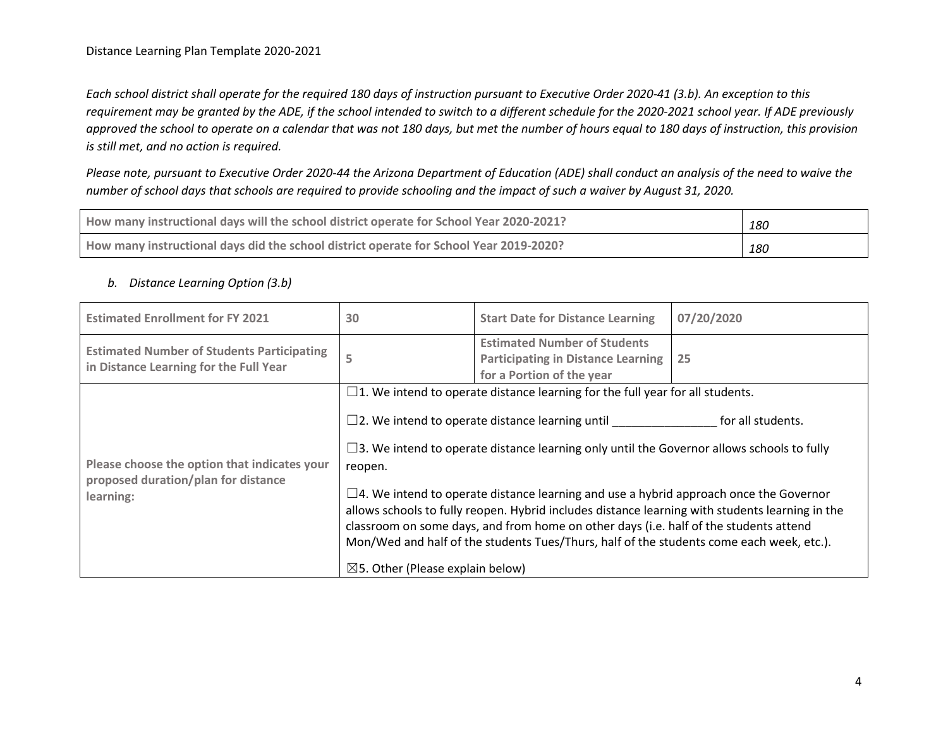*Each school district shall operate for the required 180 days of instruction pursuant to Executive Order 2020-41 (3.b). An exception to this requirement may be granted by the ADE, if the school intended to switch to a different schedule for the 2020-2021 school year. If ADE previously approved the school to operate on a calendar that was not 180 days, but met the number of hours equal to 180 days of instruction, this provision is still met, and no action is required.*

*Please note, pursuant to Executive Order 2020-44 the Arizona Department of Education (ADE) shall conduct an analysis of the need to waive the number of school days that schools are required to provide schooling and the impact of such a waiver by August 31, 2020.*

| How many instructional days will the school district operate for School Year 2020-2021? | 180 |
|-----------------------------------------------------------------------------------------|-----|
| How many instructional days did the school district operate for School Year 2019-2020?  | 180 |

#### *b. Distance Learning Option (3.b)*

| <b>Estimated Enrollment for FY 2021</b>                                                          | 30                                                                                                                                                                                                                                                                                                                                                                                                                                                                                                                                                                                                                                                                                                                                 | <b>Start Date for Distance Learning</b>                                                                       | 07/20/2020 |
|--------------------------------------------------------------------------------------------------|------------------------------------------------------------------------------------------------------------------------------------------------------------------------------------------------------------------------------------------------------------------------------------------------------------------------------------------------------------------------------------------------------------------------------------------------------------------------------------------------------------------------------------------------------------------------------------------------------------------------------------------------------------------------------------------------------------------------------------|---------------------------------------------------------------------------------------------------------------|------------|
| <b>Estimated Number of Students Participating</b><br>in Distance Learning for the Full Year      |                                                                                                                                                                                                                                                                                                                                                                                                                                                                                                                                                                                                                                                                                                                                    | <b>Estimated Number of Students</b><br><b>Participating in Distance Learning</b><br>for a Portion of the year | 25         |
| Please choose the option that indicates your<br>proposed duration/plan for distance<br>learning: | $\Box$ 1. We intend to operate distance learning for the full year for all students.<br>$\square$ 2. We intend to operate distance learning until<br>for all students.<br>$\square$ 3. We intend to operate distance learning only until the Governor allows schools to fully<br>reopen.<br>$\square$ 4. We intend to operate distance learning and use a hybrid approach once the Governor<br>allows schools to fully reopen. Hybrid includes distance learning with students learning in the<br>classroom on some days, and from home on other days (i.e. half of the students attend<br>Mon/Wed and half of the students Tues/Thurs, half of the students come each week, etc.).<br>$\boxtimes$ 5. Other (Please explain below) |                                                                                                               |            |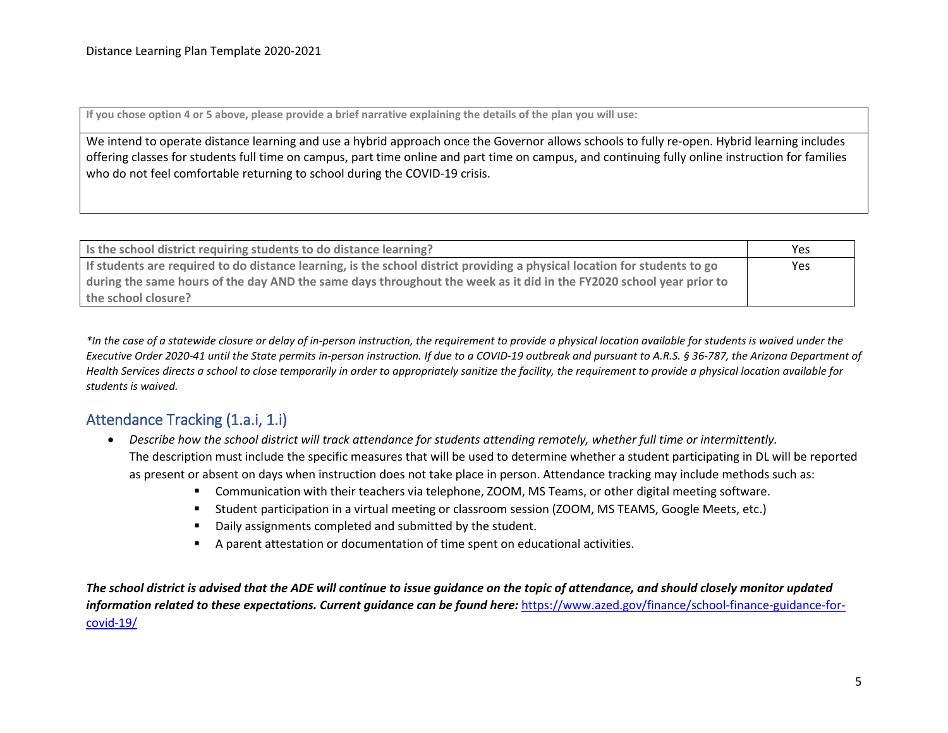**If you chose option 4 or 5 above, please provide a brief narrative explaining the details of the plan you will use:**

We intend to operate distance learning and use a hybrid approach once the Governor allows schools to fully re-open. Hybrid learning includes offering classes for students full time on campus, part time online and part time on campus, and continuing fully online instruction for families who do not feel comfortable returning to school during the COVID-19 crisis.

| Is the school district requiring students to do distance learning?                                                        | Yes |
|---------------------------------------------------------------------------------------------------------------------------|-----|
| If students are required to do distance learning, is the school district providing a physical location for students to go | Yes |
| during the same hours of the day AND the same days throughout the week as it did in the FY2020 school year prior to       |     |
| the school closure?                                                                                                       |     |

*\*In the case of a statewide closure or delay of in-person instruction, the requirement to provide a physical location available for students is waived under the Executive Order 2020-41 until the State permits in-person instruction. If due to a COVID-19 outbreak and pursuant to A.R.S. § 36-787, the Arizona Department of Health Services directs a school to close temporarily in order to appropriately sanitize the facility, the requirement to provide a physical location available for students is waived.* 

#### Attendance Tracking (1.a.i, 1.i)

- *Describe how the school district will track attendance for students attending remotely, whether full time or intermittently.* The description must include the specific measures that will be used to determine whether a student participating in DL will be reported as present or absent on days when instruction does not take place in person. Attendance tracking may include methods such as:
	- Communication with their teachers via telephone, ZOOM, MS Teams, or other digital meeting software.
	- Student participation in a virtual meeting or classroom session (ZOOM, MS TEAMS, Google Meets, etc.)
	- Daily assignments completed and submitted by the student.
	- A parent attestation or documentation of time spent on educational activities.

*The school district is advised that the ADE will continue to issue guidance on the topic of attendance, and should closely monitor updated information related to these expectations. Current guidance can be found here:* [https://www.azed.gov/finance/school-finance-guidance-for](https://www.azed.gov/finance/school-finance-guidance-for-covid-19/)[covid-19/](https://www.azed.gov/finance/school-finance-guidance-for-covid-19/)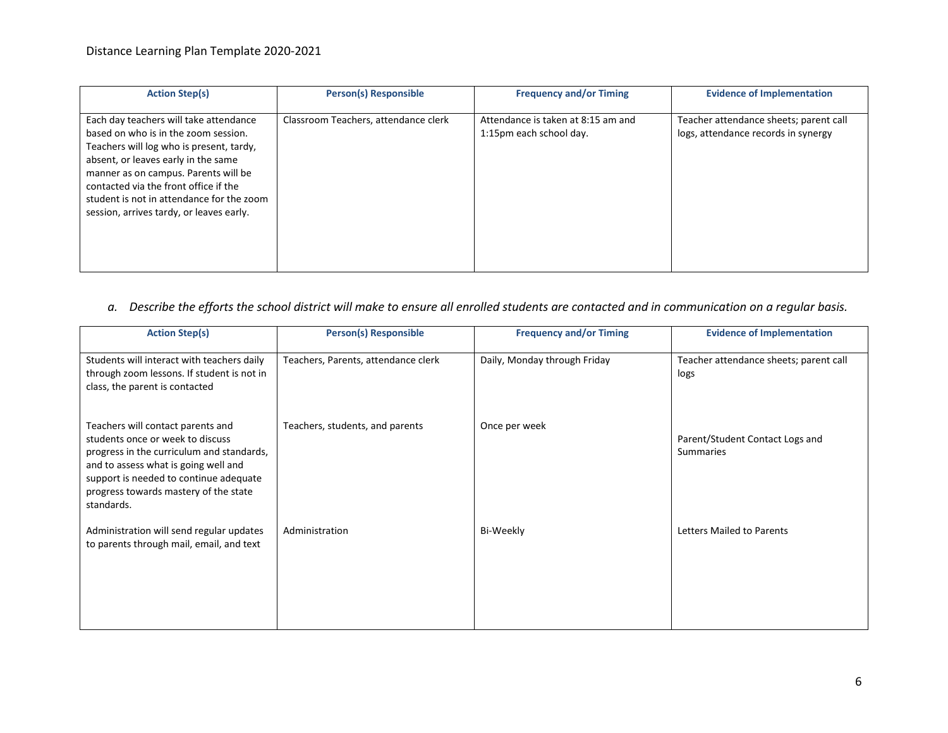| <b>Action Step(s)</b>                                                                                                                                                                                                                                                                                                                       | <b>Person(s) Responsible</b>         | <b>Frequency and/or Timing</b>                                | <b>Evidence of Implementation</b>                                             |
|---------------------------------------------------------------------------------------------------------------------------------------------------------------------------------------------------------------------------------------------------------------------------------------------------------------------------------------------|--------------------------------------|---------------------------------------------------------------|-------------------------------------------------------------------------------|
| Each day teachers will take attendance<br>based on who is in the zoom session.<br>Teachers will log who is present, tardy,<br>absent, or leaves early in the same<br>manner as on campus. Parents will be<br>contacted via the front office if the<br>student is not in attendance for the zoom<br>session, arrives tardy, or leaves early. | Classroom Teachers, attendance clerk | Attendance is taken at 8:15 am and<br>1:15pm each school day. | Teacher attendance sheets; parent call<br>logs, attendance records in synergy |

#### *a. Describe the efforts the school district will make to ensure all enrolled students are contacted and in communication on a regular basis.*

| <b>Action Step(s)</b>                                                                                                                                                                                                                                       | <b>Person(s) Responsible</b>        | <b>Frequency and/or Timing</b> | <b>Evidence of Implementation</b>                   |
|-------------------------------------------------------------------------------------------------------------------------------------------------------------------------------------------------------------------------------------------------------------|-------------------------------------|--------------------------------|-----------------------------------------------------|
| Students will interact with teachers daily<br>through zoom lessons. If student is not in<br>class, the parent is contacted                                                                                                                                  | Teachers, Parents, attendance clerk | Daily, Monday through Friday   | Teacher attendance sheets; parent call<br>logs      |
| Teachers will contact parents and<br>students once or week to discuss<br>progress in the curriculum and standards,<br>and to assess what is going well and<br>support is needed to continue adequate<br>progress towards mastery of the state<br>standards. | Teachers, students, and parents     | Once per week                  | Parent/Student Contact Logs and<br><b>Summaries</b> |
| Administration will send regular updates<br>to parents through mail, email, and text                                                                                                                                                                        | Administration                      | Bi-Weekly                      | <b>Letters Mailed to Parents</b>                    |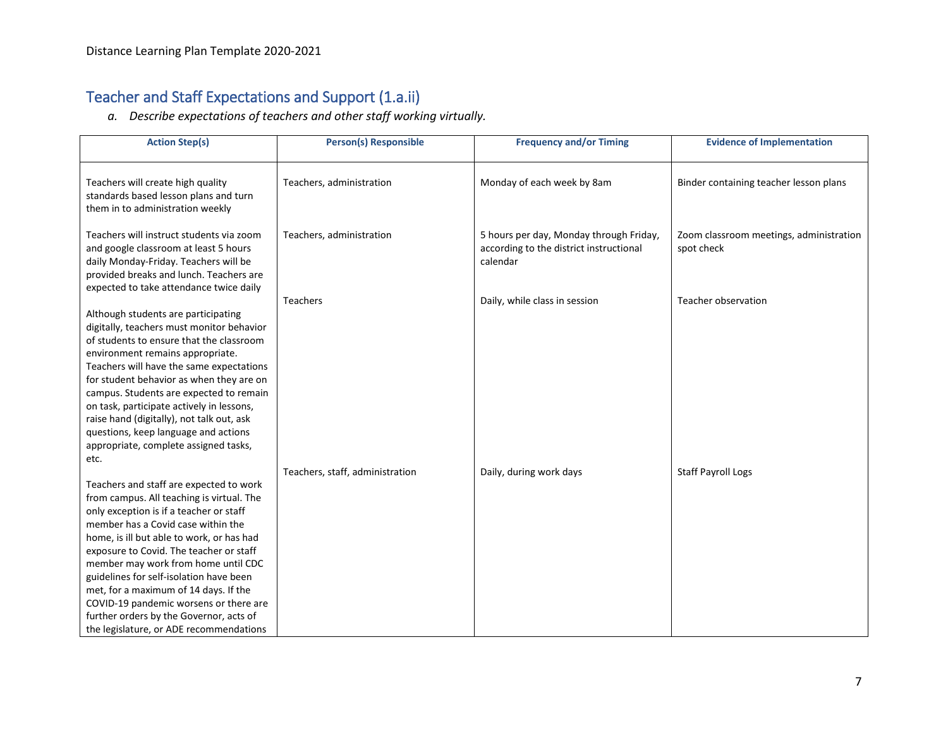## Teacher and Staff Expectations and Support (1.a.ii)

*a. Describe expectations of teachers and other staff working virtually.*

| <b>Action Step(s)</b>                                                                                                                                                                                                                                                                                                                                                                                                                                                                                                            | <b>Person(s) Responsible</b>    | <b>Frequency and/or Timing</b>                                                                 | <b>Evidence of Implementation</b>                     |
|----------------------------------------------------------------------------------------------------------------------------------------------------------------------------------------------------------------------------------------------------------------------------------------------------------------------------------------------------------------------------------------------------------------------------------------------------------------------------------------------------------------------------------|---------------------------------|------------------------------------------------------------------------------------------------|-------------------------------------------------------|
| Teachers will create high quality<br>standards based lesson plans and turn<br>them in to administration weekly                                                                                                                                                                                                                                                                                                                                                                                                                   | Teachers, administration        | Monday of each week by 8am                                                                     | Binder containing teacher lesson plans                |
| Teachers will instruct students via zoom<br>and google classroom at least 5 hours<br>daily Monday-Friday. Teachers will be<br>provided breaks and lunch. Teachers are<br>expected to take attendance twice daily                                                                                                                                                                                                                                                                                                                 | Teachers, administration        | 5 hours per day, Monday through Friday,<br>according to the district instructional<br>calendar | Zoom classroom meetings, administration<br>spot check |
| Although students are participating<br>digitally, teachers must monitor behavior<br>of students to ensure that the classroom<br>environment remains appropriate.<br>Teachers will have the same expectations<br>for student behavior as when they are on<br>campus. Students are expected to remain<br>on task, participate actively in lessons,<br>raise hand (digitally), not talk out, ask<br>questions, keep language and actions<br>appropriate, complete assigned tasks,                                                   | <b>Teachers</b>                 | Daily, while class in session                                                                  | Teacher observation                                   |
| etc.<br>Teachers and staff are expected to work<br>from campus. All teaching is virtual. The<br>only exception is if a teacher or staff<br>member has a Covid case within the<br>home, is ill but able to work, or has had<br>exposure to Covid. The teacher or staff<br>member may work from home until CDC<br>guidelines for self-isolation have been<br>met, for a maximum of 14 days. If the<br>COVID-19 pandemic worsens or there are<br>further orders by the Governor, acts of<br>the legislature, or ADE recommendations | Teachers, staff, administration | Daily, during work days                                                                        | <b>Staff Payroll Logs</b>                             |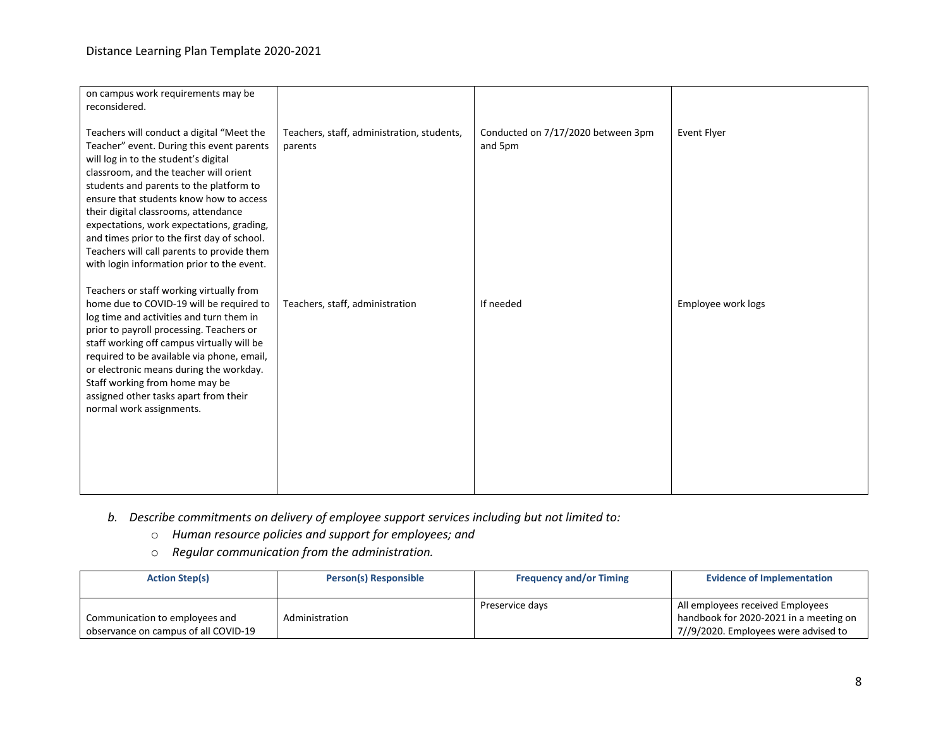| on campus work requirements may be<br>reconsidered.                                                                                                                                                                                                                                                                                                                                                                                                                                            |                                                       |                                               |                    |
|------------------------------------------------------------------------------------------------------------------------------------------------------------------------------------------------------------------------------------------------------------------------------------------------------------------------------------------------------------------------------------------------------------------------------------------------------------------------------------------------|-------------------------------------------------------|-----------------------------------------------|--------------------|
| Teachers will conduct a digital "Meet the<br>Teacher" event. During this event parents<br>will log in to the student's digital<br>classroom, and the teacher will orient<br>students and parents to the platform to<br>ensure that students know how to access<br>their digital classrooms, attendance<br>expectations, work expectations, grading,<br>and times prior to the first day of school.<br>Teachers will call parents to provide them<br>with login information prior to the event. | Teachers, staff, administration, students,<br>parents | Conducted on 7/17/2020 between 3pm<br>and 5pm | <b>Event Flyer</b> |
| Teachers or staff working virtually from<br>home due to COVID-19 will be required to<br>log time and activities and turn them in<br>prior to payroll processing. Teachers or<br>staff working off campus virtually will be<br>required to be available via phone, email,<br>or electronic means during the workday.<br>Staff working from home may be<br>assigned other tasks apart from their<br>normal work assignments.                                                                     | Teachers, staff, administration                       | If needed                                     | Employee work logs |

- *b. Describe commitments on delivery of employee support services including but not limited to:*
	- o *Human resource policies and support for employees; and*
	- o *Regular communication from the administration.*

| <b>Action Step(s)</b>                | Person(s) Responsible | <b>Frequency and/or Timing</b> | <b>Evidence of Implementation</b>      |
|--------------------------------------|-----------------------|--------------------------------|----------------------------------------|
|                                      |                       |                                |                                        |
|                                      |                       | Preservice days                | All employees received Employees       |
| Communication to employees and       | Administration        |                                | handbook for 2020-2021 in a meeting on |
| observance on campus of all COVID-19 |                       |                                | 7//9/2020. Employees were advised to   |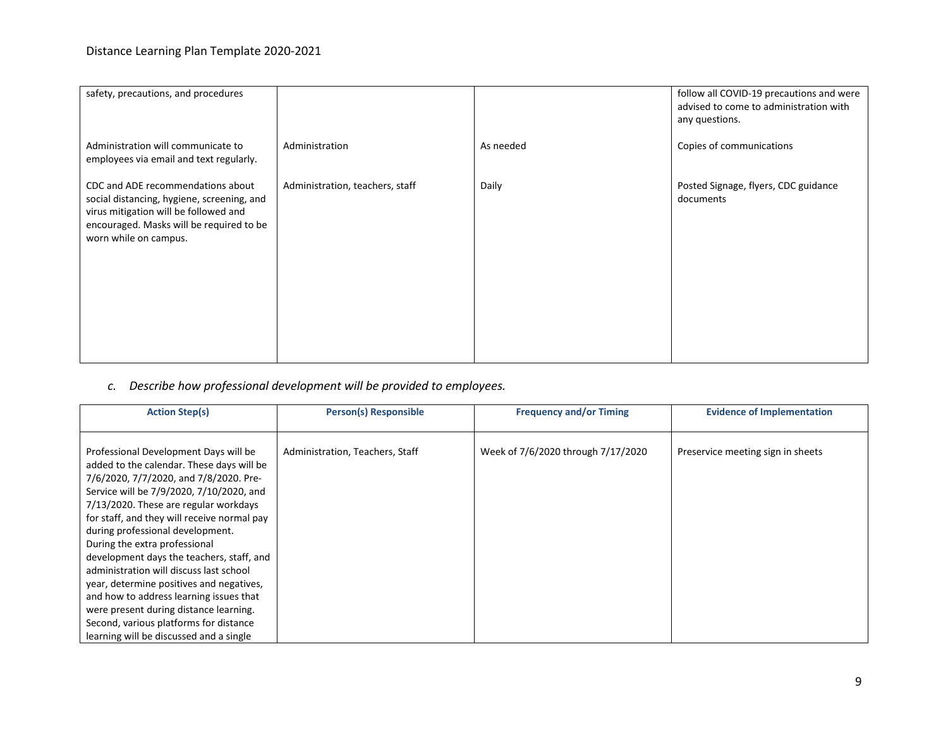| safety, precautions, and procedures                                                                                                                                                           |                                 |           | follow all COVID-19 precautions and were<br>advised to come to administration with<br>any questions. |
|-----------------------------------------------------------------------------------------------------------------------------------------------------------------------------------------------|---------------------------------|-----------|------------------------------------------------------------------------------------------------------|
| Administration will communicate to<br>employees via email and text regularly.                                                                                                                 | Administration                  | As needed | Copies of communications                                                                             |
| CDC and ADE recommendations about<br>social distancing, hygiene, screening, and<br>virus mitigation will be followed and<br>encouraged. Masks will be required to be<br>worn while on campus. | Administration, teachers, staff | Daily     | Posted Signage, flyers, CDC guidance<br>documents                                                    |

#### *c. Describe how professional development will be provided to employees.*

| <b>Action Step(s)</b>                                                                                                                                                                                                                                                                                                                                                                                                                                                                                                                                                                                    | <b>Person(s) Responsible</b>    | <b>Frequency and/or Timing</b>     | <b>Evidence of Implementation</b> |
|----------------------------------------------------------------------------------------------------------------------------------------------------------------------------------------------------------------------------------------------------------------------------------------------------------------------------------------------------------------------------------------------------------------------------------------------------------------------------------------------------------------------------------------------------------------------------------------------------------|---------------------------------|------------------------------------|-----------------------------------|
| Professional Development Days will be<br>added to the calendar. These days will be<br>7/6/2020, 7/7/2020, and 7/8/2020. Pre-<br>Service will be 7/9/2020, 7/10/2020, and<br>7/13/2020. These are regular workdays<br>for staff, and they will receive normal pay<br>during professional development.<br>During the extra professional<br>development days the teachers, staff, and<br>administration will discuss last school<br>year, determine positives and negatives,<br>and how to address learning issues that<br>were present during distance learning.<br>Second, various platforms for distance | Administration, Teachers, Staff | Week of 7/6/2020 through 7/17/2020 | Preservice meeting sign in sheets |
| learning will be discussed and a single                                                                                                                                                                                                                                                                                                                                                                                                                                                                                                                                                                  |                                 |                                    |                                   |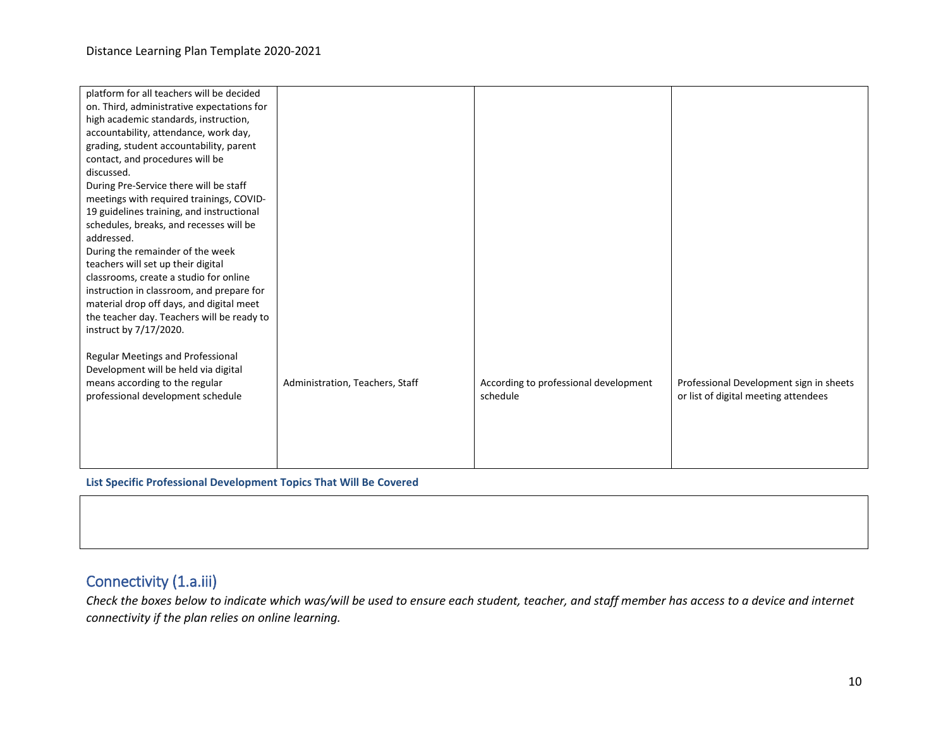| platform for all teachers will be decided  |                                 |                                       |                                         |
|--------------------------------------------|---------------------------------|---------------------------------------|-----------------------------------------|
| on. Third, administrative expectations for |                                 |                                       |                                         |
| high academic standards, instruction,      |                                 |                                       |                                         |
| accountability, attendance, work day,      |                                 |                                       |                                         |
| grading, student accountability, parent    |                                 |                                       |                                         |
| contact, and procedures will be            |                                 |                                       |                                         |
| discussed.                                 |                                 |                                       |                                         |
| During Pre-Service there will be staff     |                                 |                                       |                                         |
| meetings with required trainings, COVID-   |                                 |                                       |                                         |
| 19 guidelines training, and instructional  |                                 |                                       |                                         |
| schedules, breaks, and recesses will be    |                                 |                                       |                                         |
| addressed.                                 |                                 |                                       |                                         |
| During the remainder of the week           |                                 |                                       |                                         |
| teachers will set up their digital         |                                 |                                       |                                         |
| classrooms, create a studio for online     |                                 |                                       |                                         |
| instruction in classroom, and prepare for  |                                 |                                       |                                         |
| material drop off days, and digital meet   |                                 |                                       |                                         |
| the teacher day. Teachers will be ready to |                                 |                                       |                                         |
| instruct by 7/17/2020.                     |                                 |                                       |                                         |
|                                            |                                 |                                       |                                         |
| <b>Regular Meetings and Professional</b>   |                                 |                                       |                                         |
| Development will be held via digital       |                                 |                                       |                                         |
| means according to the regular             | Administration, Teachers, Staff | According to professional development | Professional Development sign in sheets |
| professional development schedule          |                                 | schedule                              | or list of digital meeting attendees    |
|                                            |                                 |                                       |                                         |
|                                            |                                 |                                       |                                         |
|                                            |                                 |                                       |                                         |
|                                            |                                 |                                       |                                         |
|                                            |                                 |                                       |                                         |

**List Specific Professional Development Topics That Will Be Covered**

#### Connectivity (1.a.iii)

*Check the boxes below to indicate which was/will be used to ensure each student, teacher, and staff member has access to a device and internet connectivity if the plan relies on online learning.*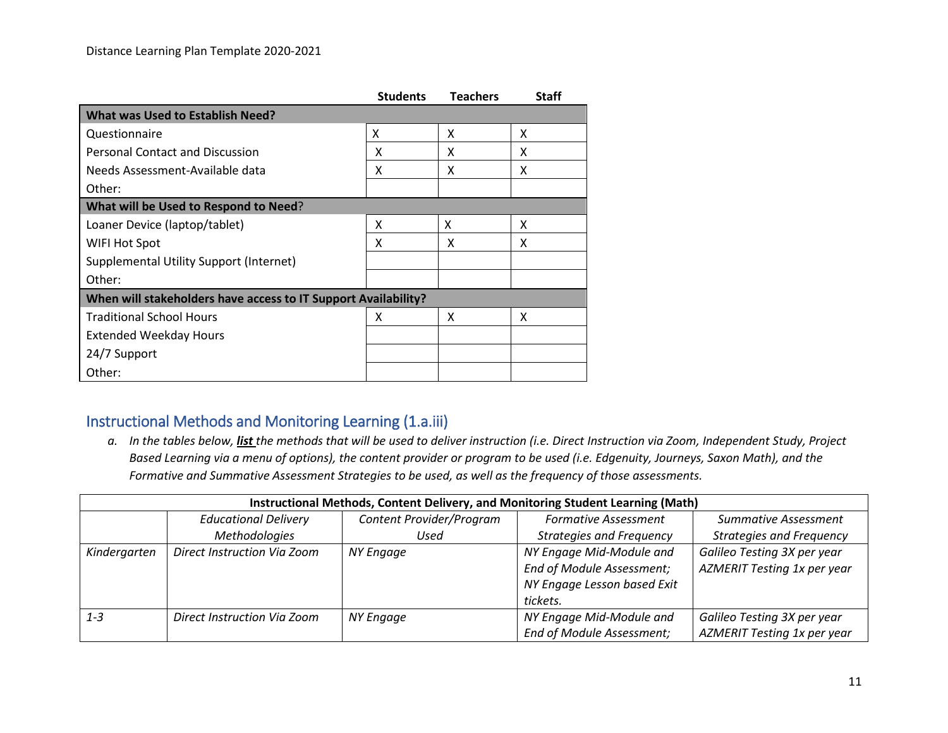|                                                                | <b>Students</b> | <b>Teachers</b> | <b>Staff</b> |
|----------------------------------------------------------------|-----------------|-----------------|--------------|
| <b>What was Used to Establish Need?</b>                        |                 |                 |              |
| Questionnaire                                                  | X               | X               | X            |
| Personal Contact and Discussion                                | x               | X               | X            |
| Needs Assessment-Available data                                | x               | x               | x            |
| Other:                                                         |                 |                 |              |
| What will be Used to Respond to Need?                          |                 |                 |              |
| Loaner Device (laptop/tablet)                                  | x               | x               | x            |
| WIFI Hot Spot                                                  | x               | x               | x            |
| <b>Supplemental Utility Support (Internet)</b>                 |                 |                 |              |
| Other:                                                         |                 |                 |              |
| When will stakeholders have access to IT Support Availability? |                 |                 |              |
| <b>Traditional School Hours</b>                                | x               | X               | x            |
| <b>Extended Weekday Hours</b>                                  |                 |                 |              |
| 24/7 Support                                                   |                 |                 |              |
| Other:                                                         |                 |                 |              |

#### Instructional Methods and Monitoring Learning (1.a.iii)

*a. In the tables below, list the methods that will be used to deliver instruction (i.e. Direct Instruction via Zoom, Independent Study, Project Based Learning via a menu of options), the content provider or program to be used (i.e. Edgenuity, Journeys, Saxon Math), and the Formative and Summative Assessment Strategies to be used, as well as the frequency of those assessments.*

|              | Instructional Methods, Content Delivery, and Monitoring Student Learning (Math) |                                                         |                             |                                 |  |  |
|--------------|---------------------------------------------------------------------------------|---------------------------------------------------------|-----------------------------|---------------------------------|--|--|
|              | <b>Educational Delivery</b>                                                     | Content Provider/Program<br><b>Formative Assessment</b> |                             |                                 |  |  |
|              | Methodologies                                                                   | <b>Strategies and Frequency</b><br>Used                 |                             | <b>Strategies and Frequency</b> |  |  |
| Kindergarten | Direct Instruction Via Zoom                                                     | NY Engage                                               | NY Engage Mid-Module and    | Galileo Testing 3X per year     |  |  |
|              |                                                                                 |                                                         | End of Module Assessment;   | AZMERIT Testing 1x per year     |  |  |
|              |                                                                                 |                                                         | NY Engage Lesson based Exit |                                 |  |  |
|              |                                                                                 |                                                         | tickets.                    |                                 |  |  |
| $1 - 3$      | Direct Instruction Via Zoom                                                     | NY Engage                                               | NY Engage Mid-Module and    | Galileo Testing 3X per year     |  |  |
|              |                                                                                 |                                                         | End of Module Assessment;   | AZMERIT Testing 1x per year     |  |  |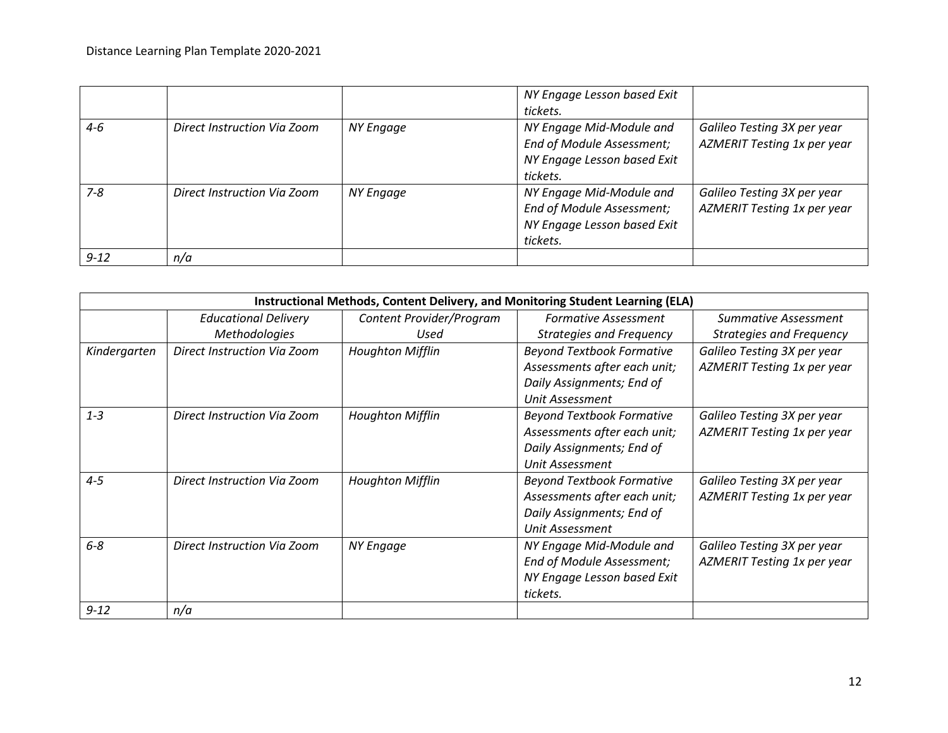|          |                             |           | NY Engage Lesson based Exit<br>tickets.                                                          |                                                            |
|----------|-----------------------------|-----------|--------------------------------------------------------------------------------------------------|------------------------------------------------------------|
| $4 - 6$  | Direct Instruction Via Zoom | NY Engage | NY Engage Mid-Module and<br>End of Module Assessment;<br>NY Engage Lesson based Exit<br>tickets. | Galileo Testing 3X per year<br>AZMERIT Testing 1x per year |
| $7 - 8$  | Direct Instruction Via Zoom | NY Engage | NY Engage Mid-Module and<br>End of Module Assessment;<br>NY Engage Lesson based Exit<br>tickets. | Galileo Testing 3X per year<br>AZMERIT Testing 1x per year |
| $9 - 12$ | n/a                         |           |                                                                                                  |                                                            |

|              | Instructional Methods, Content Delivery, and Monitoring Student Learning (ELA) |                          |                                                                                                                  |                                                            |  |
|--------------|--------------------------------------------------------------------------------|--------------------------|------------------------------------------------------------------------------------------------------------------|------------------------------------------------------------|--|
|              | <b>Educational Delivery</b>                                                    | Content Provider/Program | <b>Formative Assessment</b>                                                                                      | Summative Assessment                                       |  |
|              | Methodologies                                                                  | Used                     | <b>Strategies and Frequency</b>                                                                                  | <b>Strategies and Frequency</b>                            |  |
| Kindergarten | Direct Instruction Via Zoom                                                    | <b>Houghton Mifflin</b>  | <b>Beyond Textbook Formative</b><br>Assessments after each unit;<br>Daily Assignments; End of<br>Unit Assessment | Galileo Testing 3X per year<br>AZMERIT Testing 1x per year |  |
| $1 - 3$      | Direct Instruction Via Zoom                                                    | <b>Houghton Mifflin</b>  | <b>Beyond Textbook Formative</b><br>Assessments after each unit;<br>Daily Assignments; End of<br>Unit Assessment | Galileo Testing 3X per year<br>AZMERIT Testing 1x per year |  |
| $4 - 5$      | Direct Instruction Via Zoom                                                    | <b>Houghton Mifflin</b>  | <b>Beyond Textbook Formative</b><br>Assessments after each unit;<br>Daily Assignments; End of<br>Unit Assessment | Galileo Testing 3X per year<br>AZMERIT Testing 1x per year |  |
| $6 - 8$      | Direct Instruction Via Zoom                                                    | <b>NY Engage</b>         | NY Engage Mid-Module and<br>End of Module Assessment;<br>NY Engage Lesson based Exit<br>tickets.                 | Galileo Testing 3X per year<br>AZMERIT Testing 1x per year |  |
| $9 - 12$     | n/a                                                                            |                          |                                                                                                                  |                                                            |  |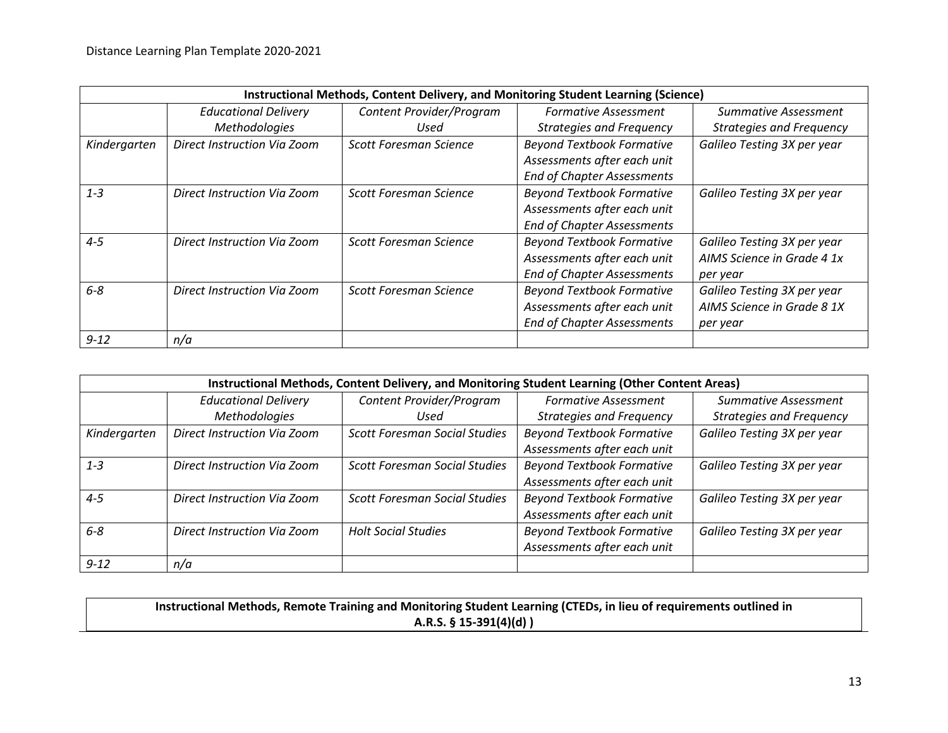|              | Instructional Methods, Content Delivery, and Monitoring Student Learning (Science) |                          |                                   |                                 |  |
|--------------|------------------------------------------------------------------------------------|--------------------------|-----------------------------------|---------------------------------|--|
|              | <b>Educational Delivery</b>                                                        | Content Provider/Program | <b>Formative Assessment</b>       | Summative Assessment            |  |
|              | <b>Methodologies</b>                                                               | Used                     | <b>Strategies and Frequency</b>   | <b>Strategies and Frequency</b> |  |
| Kindergarten | Direct Instruction Via Zoom                                                        | Scott Foresman Science   | <b>Beyond Textbook Formative</b>  | Galileo Testing 3X per year     |  |
|              |                                                                                    |                          | Assessments after each unit       |                                 |  |
|              |                                                                                    |                          | <b>End of Chapter Assessments</b> |                                 |  |
| $1 - 3$      | Direct Instruction Via Zoom                                                        | Scott Foresman Science   | <b>Beyond Textbook Formative</b>  | Galileo Testing 3X per year     |  |
|              |                                                                                    |                          | Assessments after each unit       |                                 |  |
|              |                                                                                    |                          | <b>End of Chapter Assessments</b> |                                 |  |
| $4 - 5$      | Direct Instruction Via Zoom                                                        | Scott Foresman Science   | <b>Beyond Textbook Formative</b>  | Galileo Testing 3X per year     |  |
|              |                                                                                    |                          | Assessments after each unit       | AIMS Science in Grade 4 1x      |  |
|              |                                                                                    |                          | <b>End of Chapter Assessments</b> | per year                        |  |
| $6 - 8$      | Direct Instruction Via Zoom                                                        | Scott Foresman Science   | <b>Beyond Textbook Formative</b>  | Galileo Testing 3X per year     |  |
|              |                                                                                    |                          | Assessments after each unit       | AIMS Science in Grade 8 1X      |  |
|              |                                                                                    |                          | <b>End of Chapter Assessments</b> | per year                        |  |
| $9 - 12$     | n/a                                                                                |                          |                                   |                                 |  |

|              | Instructional Methods, Content Delivery, and Monitoring Student Learning (Other Content Areas)                        |                                      |                                  |                                 |  |  |  |
|--------------|-----------------------------------------------------------------------------------------------------------------------|--------------------------------------|----------------------------------|---------------------------------|--|--|--|
|              | Content Provider/Program<br><b>Educational Delivery</b><br><b>Formative Assessment</b><br><b>Summative Assessment</b> |                                      |                                  |                                 |  |  |  |
|              | <b>Methodologies</b>                                                                                                  | Used                                 | <b>Strategies and Frequency</b>  | <b>Strategies and Frequency</b> |  |  |  |
| Kindergarten | Direct Instruction Via Zoom                                                                                           | <b>Scott Foresman Social Studies</b> | <b>Beyond Textbook Formative</b> | Galileo Testing 3X per year     |  |  |  |
|              |                                                                                                                       |                                      | Assessments after each unit      |                                 |  |  |  |
| $1 - 3$      | Direct Instruction Via Zoom                                                                                           | <b>Scott Foresman Social Studies</b> | <b>Beyond Textbook Formative</b> | Galileo Testing 3X per year     |  |  |  |
|              |                                                                                                                       |                                      | Assessments after each unit      |                                 |  |  |  |
| $4 - 5$      | Direct Instruction Via Zoom                                                                                           | <b>Scott Foresman Social Studies</b> | <b>Beyond Textbook Formative</b> | Galileo Testing 3X per year     |  |  |  |
|              |                                                                                                                       |                                      | Assessments after each unit      |                                 |  |  |  |
| $6 - 8$      | Direct Instruction Via Zoom                                                                                           | <b>Holt Social Studies</b>           | <b>Beyond Textbook Formative</b> | Galileo Testing 3X per year     |  |  |  |
|              |                                                                                                                       |                                      | Assessments after each unit      |                                 |  |  |  |
| $9 - 12$     | n/a                                                                                                                   |                                      |                                  |                                 |  |  |  |

**Instructional Methods, Remote Training and Monitoring Student Learning (CTEDs, in lieu of requirements outlined in A.R.S. § 15-391(4)(d) )**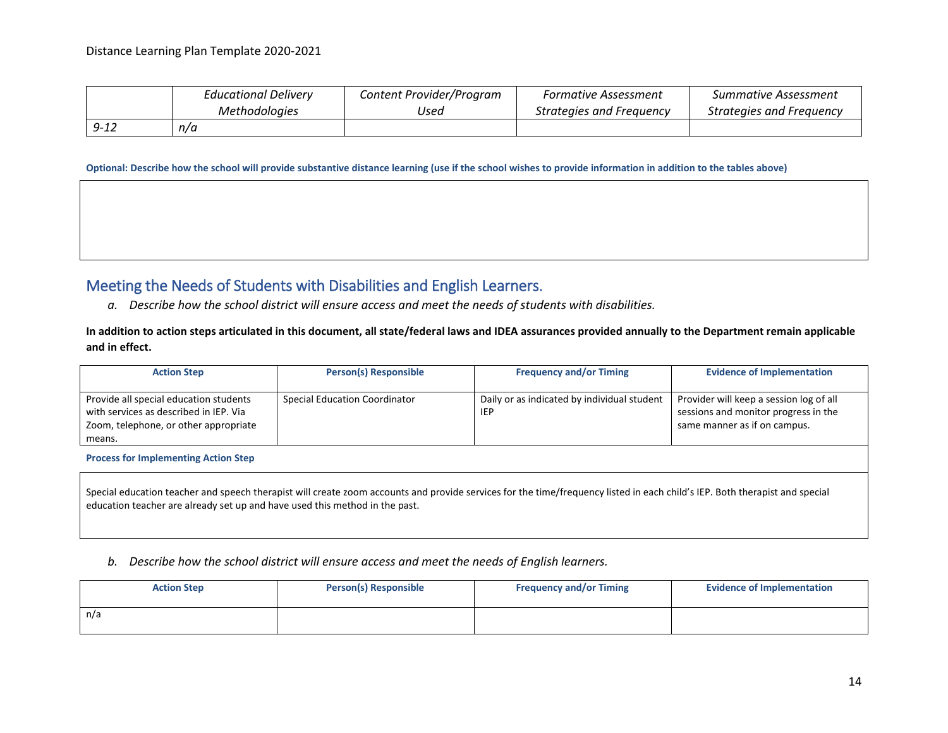|          | <b>Educational Delivery</b> | Content Provider/Program | Formative Assessment     | Summative Assessment     |
|----------|-----------------------------|--------------------------|--------------------------|--------------------------|
|          | <i>Methodologies</i>        | Used                     | Strategies and Frequency | Strategies and Freguency |
| $9 - 12$ | n/a                         |                          |                          |                          |

**Optional: Describe how the school will provide substantive distance learning (use if the school wishes to provide information in addition to the tables above)**

#### Meeting the Needs of Students with Disabilities and English Learners.

*a. Describe how the school district will ensure access and meet the needs of students with disabilities.*

**In addition to action steps articulated in this document, all state/federal laws and IDEA assurances provided annually to the Department remain applicable and in effect.**

| <b>Action Step</b>                                                                                                                  | <b>Person(s) Responsible</b>         | <b>Frequency and/or Timing</b>                            | <b>Evidence of Implementation</b>                                                                               |
|-------------------------------------------------------------------------------------------------------------------------------------|--------------------------------------|-----------------------------------------------------------|-----------------------------------------------------------------------------------------------------------------|
| Provide all special education students<br>with services as described in IEP. Via<br>Zoom, telephone, or other appropriate<br>means. | <b>Special Education Coordinator</b> | Daily or as indicated by individual student<br><b>IEP</b> | Provider will keep a session log of all<br>sessions and monitor progress in the<br>same manner as if on campus. |
| <b>Process for Implementing Action Step</b>                                                                                         |                                      |                                                           |                                                                                                                 |

Special education teacher and speech therapist will create zoom accounts and provide services for the time/frequency listed in each child's IEP. Both therapist and special education teacher are already set up and have used this method in the past.

#### *b. Describe how the school district will ensure access and meet the needs of English learners.*

| <b>Action Step</b> | <b>Person(s) Responsible</b> |  | <b>Evidence of Implementation</b> |  |  |
|--------------------|------------------------------|--|-----------------------------------|--|--|
| n/a                |                              |  |                                   |  |  |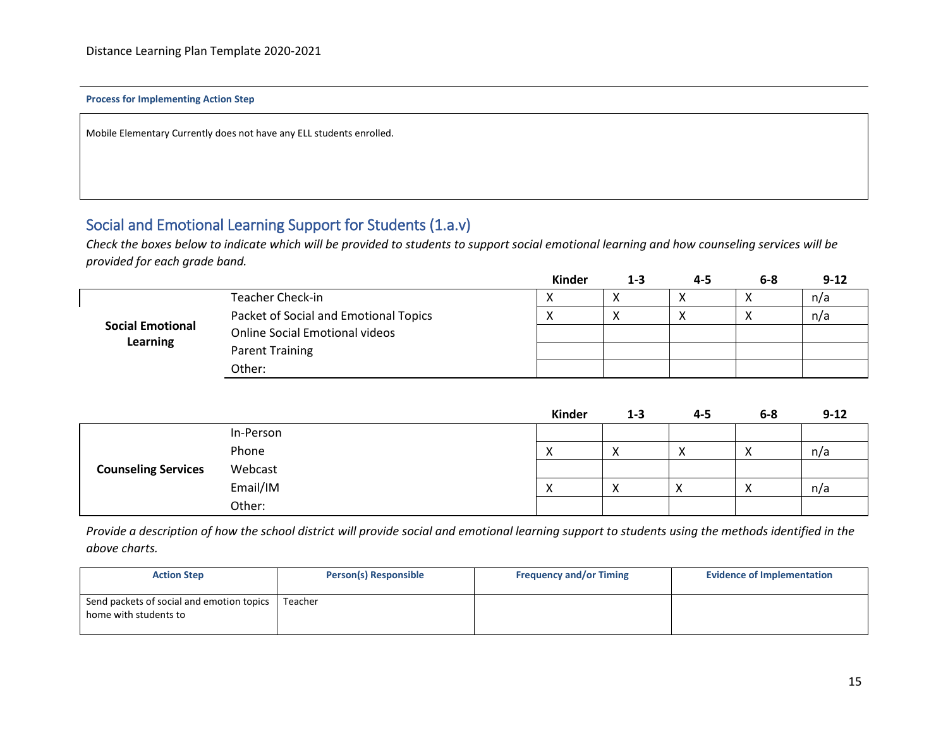#### **Process for Implementing Action Step**

Mobile Elementary Currently does not have any ELL students enrolled.

#### Social and Emotional Learning Support for Students (1.a.v)

*Check the boxes below to indicate which will be provided to students to support social emotional learning and how counseling services will be provided for each grade band.*

|                                                                              |                                       | Kinder               | 1-3 | 4-5 | $6 - 8$                    | $9 - 12$ |
|------------------------------------------------------------------------------|---------------------------------------|----------------------|-----|-----|----------------------------|----------|
| Teacher Check-in                                                             |                                       | $\cdot$<br>$\lambda$ |     |     |                            | n/a      |
|                                                                              | Packet of Social and Emotional Topics | $\mathbf{v}$         |     |     | $\mathbf{v}$<br>$\sqrt{ }$ | n/a      |
| <b>Social Emotional</b><br><b>Online Social Emotional videos</b><br>Learning |                                       |                      |     |     |                            |          |
|                                                                              | Parent Training                       |                      |     |     |                            |          |
|                                                                              | Other:                                |                      |     |     |                            |          |

|                            |           | Kinder | $1 - 3$                   | $4 - 5$   | $6-8$ | $9 - 12$ |
|----------------------------|-----------|--------|---------------------------|-----------|-------|----------|
|                            | In-Person |        |                           |           |       |          |
| <b>Counseling Services</b> | Phone     | Х      | $\mathbf{v}$<br>$\lambda$ | $\lambda$ | X     | n/a      |
|                            | Webcast   |        |                           |           |       |          |
|                            | Email/IM  | х      | $\checkmark$<br>⌒         |           | X     | n/a      |
|                            | Other:    |        |                           |           |       |          |

*Provide a description of how the school district will provide social and emotional learning support to students using the methods identified in the above charts.*

| <b>Action Step</b>                                                 | Person(s) Responsible | <b>Frequency and/or Timing</b> | <b>Evidence of Implementation</b> |
|--------------------------------------------------------------------|-----------------------|--------------------------------|-----------------------------------|
| Send packets of social and emotion topics<br>home with students to | Teacher               |                                |                                   |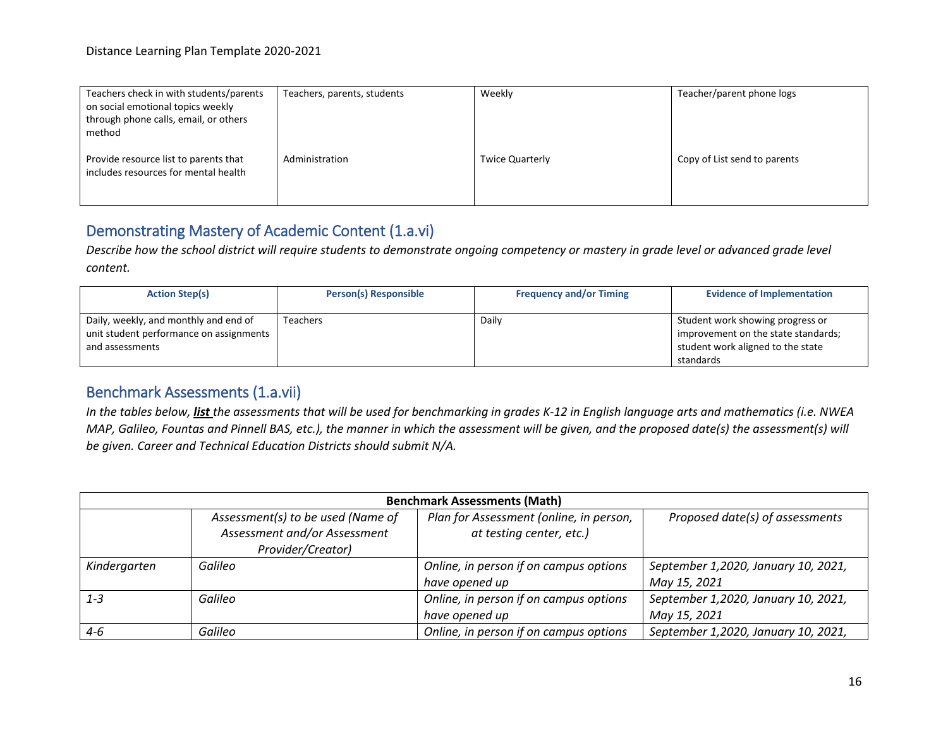| Teachers check in with students/parents<br>on social emotional topics weekly<br>through phone calls, email, or others<br>method | Teachers, parents, students | Weekly                 | Teacher/parent phone logs    |
|---------------------------------------------------------------------------------------------------------------------------------|-----------------------------|------------------------|------------------------------|
| Provide resource list to parents that<br>includes resources for mental health                                                   | Administration              | <b>Twice Quarterly</b> | Copy of List send to parents |

## Demonstrating Mastery of Academic Content (1.a.vi)

*Describe how the school district will require students to demonstrate ongoing competency or mastery in grade level or advanced grade level content.*

| <b>Action Step(s)</b>                                                                               | <b>Person(s) Responsible</b> | <b>Frequency and/or Timing</b> | <b>Evidence of Implementation</b>                                                                                         |
|-----------------------------------------------------------------------------------------------------|------------------------------|--------------------------------|---------------------------------------------------------------------------------------------------------------------------|
| Daily, weekly, and monthly and end of<br>unit student performance on assignments<br>and assessments | <b>Teachers</b>              | Daily                          | Student work showing progress or<br>improvement on the state standards;<br>student work aligned to the state<br>standards |

#### Benchmark Assessments (1.a.vii)

*In the tables below, list the assessments that will be used for benchmarking in grades K-12 in English language arts and mathematics (i.e. NWEA MAP, Galileo, Fountas and Pinnell BAS, etc.), the manner in which the assessment will be given, and the proposed date(s) the assessment(s) will be given. Career and Technical Education Districts should submit N/A.* 

| <b>Benchmark Assessments (Math)</b> |                                                                                        |                                                                     |                                                     |
|-------------------------------------|----------------------------------------------------------------------------------------|---------------------------------------------------------------------|-----------------------------------------------------|
|                                     | Assessment(s) to be used (Name of<br>Assessment and/or Assessment<br>Provider/Creator) | Plan for Assessment (online, in person,<br>at testing center, etc.) | Proposed date(s) of assessments                     |
| Kindergarten                        | Galileo                                                                                | Online, in person if on campus options<br>have opened up            | September 1,2020, January 10, 2021,<br>May 15, 2021 |
| $1 - 3$                             | Galileo                                                                                | Online, in person if on campus options<br>have opened up            | September 1,2020, January 10, 2021,<br>May 15, 2021 |
| $4 - 6$                             | Galileo                                                                                | Online, in person if on campus options                              | September 1,2020, January 10, 2021,                 |